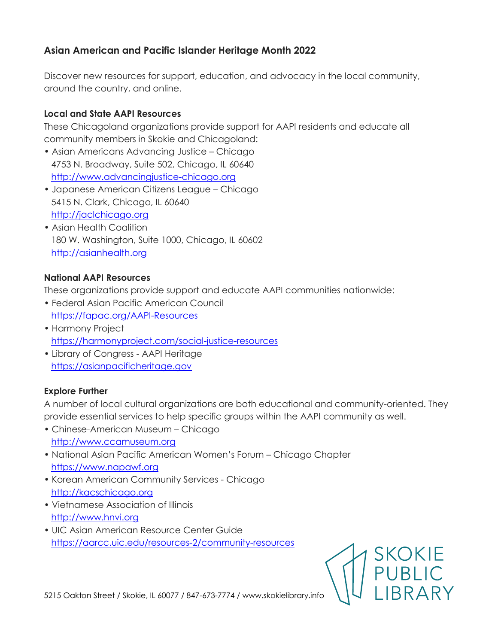## **Asian American and Pacific Islander Heritage Month 2022**

Discover new resources for support, education, and advocacy in the local community, around the country, and online.

## **Local and State AAPI Resources**

These Chicagoland organizations provide support for AAPI residents and educate all community members in Skokie and Chicagoland:

- Asian Americans Advancing Justice Chicago 4753 N. Broadway, Suite 502, Chicago, IL 60640 [http://www.advancingjustice-chicago.org](http://www.advancingjustice-chicago.org/)
- Japanese American Citizens League Chicago 5415 N. Clark, Chicago, IL 60640 [http://jaclchicago.org](http://jaclchicago.org/)
- Asian Health Coalition 180 W. Washington, Suite 1000, Chicago, IL 60602 [http://asianhealth.org](http://asianhealth.org/)

## **National AAPI Resources**

These organizations provide support and educate AAPI communities nationwide:

- Federal Asian Pacific American Council <https://fapac.org/AAPI-Resources>
- Harmony Project <https://harmonyproject.com/social-justice-resources>
- Library of Congress AAPI Heritage [https://asianpacificheritage.gov](https://asianpacificheritage.gov/)

## **Explore Further**

A number of local cultural organizations are both educational and community-oriented. They provide essential services to help specific groups within the AAPI community as well.

- Chinese-American Museum Chicago [http://www.ccamuseum.org](http://www.ccamuseum.org/)
- National Asian Pacific American Women's Forum Chicago Chapter [https://www.napawf.org](https://www.napawf.org/)
- Korean American Community Services Chicago [http://kacschicago.org](http://kacschicago.org/)
- Vietnamese Association of Illinois [http://www.hnvi.org](http://www.hnvi.org/)
- UIC Asian American Resource Center Guide <https://aarcc.uic.edu/resources-2/community-resources>



5215 Oakton Street / Skokie, IL 60077 / 847-673-7774 / www.skokielibrary.info